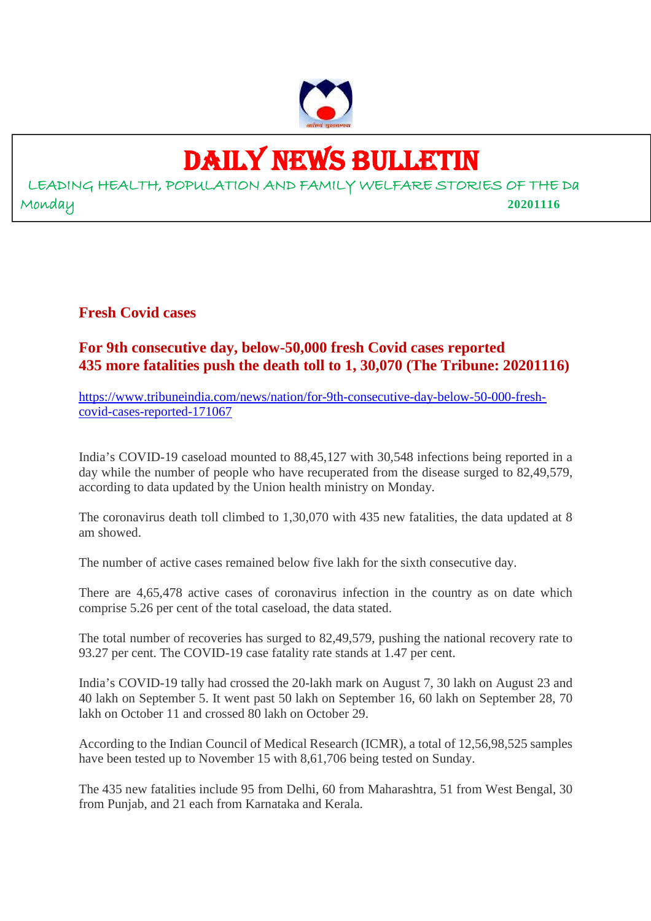

# DAILY NEWS BULLETIN

LEADING HEALTH, POPULATION AND FAMILY WELFARE STORIES OF THE Da Monday **20201116**

**Fresh Covid cases**

# **For 9th consecutive day, below-50,000 fresh Covid cases reported 435 more fatalities push the death toll to 1, 30,070 (The Tribune: 20201116)**

https://www.tribuneindia.com/news/nation/for-9th-consecutive-day-below-50-000-freshcovid-cases-reported-171067

India's COVID-19 caseload mounted to 88,45,127 with 30,548 infections being reported in a day while the number of people who have recuperated from the disease surged to 82,49,579, according to data updated by the Union health ministry on Monday.

The coronavirus death toll climbed to 1,30,070 with 435 new fatalities, the data updated at 8 am showed.

The number of active cases remained below five lakh for the sixth consecutive day.

There are 4,65,478 active cases of coronavirus infection in the country as on date which comprise 5.26 per cent of the total caseload, the data stated.

The total number of recoveries has surged to 82,49,579, pushing the national recovery rate to 93.27 per cent. The COVID-19 case fatality rate stands at 1.47 per cent.

India's COVID-19 tally had crossed the 20-lakh mark on August 7, 30 lakh on August 23 and 40 lakh on September 5. It went past 50 lakh on September 16, 60 lakh on September 28, 70 lakh on October 11 and crossed 80 lakh on October 29.

According to the Indian Council of Medical Research (ICMR), a total of 12,56,98,525 samples have been tested up to November 15 with 8,61,706 being tested on Sunday.

The 435 new fatalities include 95 from Delhi, 60 from Maharashtra, 51 from West Bengal, 30 from Punjab, and 21 each from Karnataka and Kerala.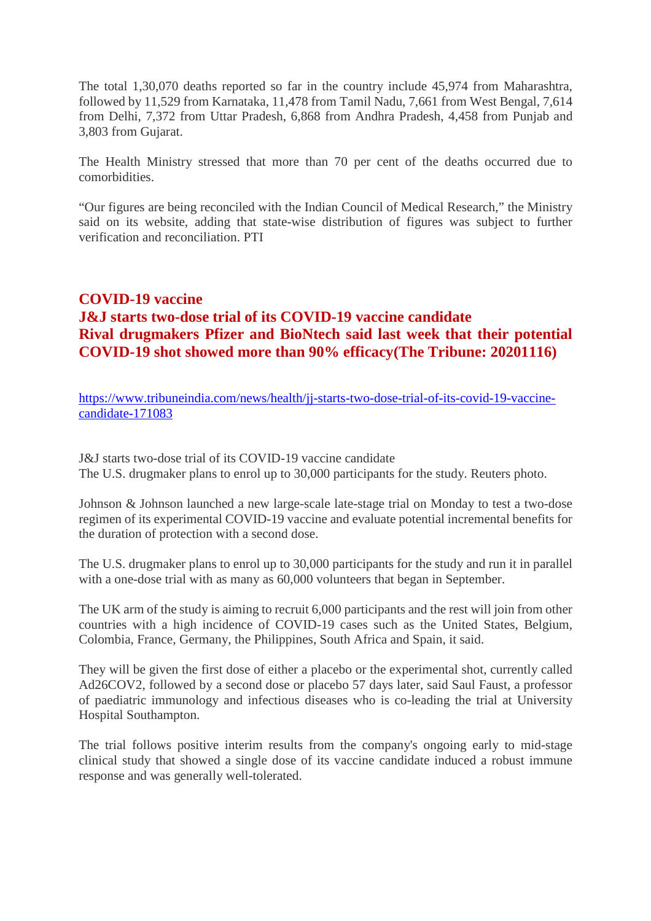The total 1,30,070 deaths reported so far in the country include 45,974 from Maharashtra, followed by 11,529 from Karnataka, 11,478 from Tamil Nadu, 7,661 from West Bengal, 7,614 from Delhi, 7,372 from Uttar Pradesh, 6,868 from Andhra Pradesh, 4,458 from Punjab and 3,803 from Gujarat.

The Health Ministry stressed that more than 70 per cent of the deaths occurred due to comorbidities.

"Our figures are being reconciled with the Indian Council of Medical Research," the Ministry said on its website, adding that state-wise distribution of figures was subject to further verification and reconciliation. PTI

# **COVID-19 vaccine J&J starts two-dose trial of its COVID-19 vaccine candidate Rival drugmakers Pfizer and BioNtech said last week that their potential COVID-19 shot showed more than 90% efficacy(The Tribune: 20201116)**

https://www.tribuneindia.com/news/health/jj-starts-two-dose-trial-of-its-covid-19-vaccinecandidate-171083

J&J starts two-dose trial of its COVID-19 vaccine candidate The U.S. drugmaker plans to enrol up to 30,000 participants for the study. Reuters photo.

Johnson & Johnson launched a new large-scale late-stage trial on Monday to test a two-dose regimen of its experimental COVID-19 vaccine and evaluate potential incremental benefits for the duration of protection with a second dose.

The U.S. drugmaker plans to enrol up to 30,000 participants for the study and run it in parallel with a one-dose trial with as many as  $60,000$  volunteers that began in September.

The UK arm of the study is aiming to recruit 6,000 participants and the rest will join from other countries with a high incidence of COVID-19 cases such as the United States, Belgium, Colombia, France, Germany, the Philippines, South Africa and Spain, it said.

They will be given the first dose of either a placebo or the experimental shot, currently called Ad26COV2, followed by a second dose or placebo 57 days later, said Saul Faust, a professor of paediatric immunology and infectious diseases who is co-leading the trial at University Hospital Southampton.

The trial follows positive interim results from the company's ongoing early to mid-stage clinical study that showed a single dose of its vaccine candidate induced a robust immune response and was generally well-tolerated.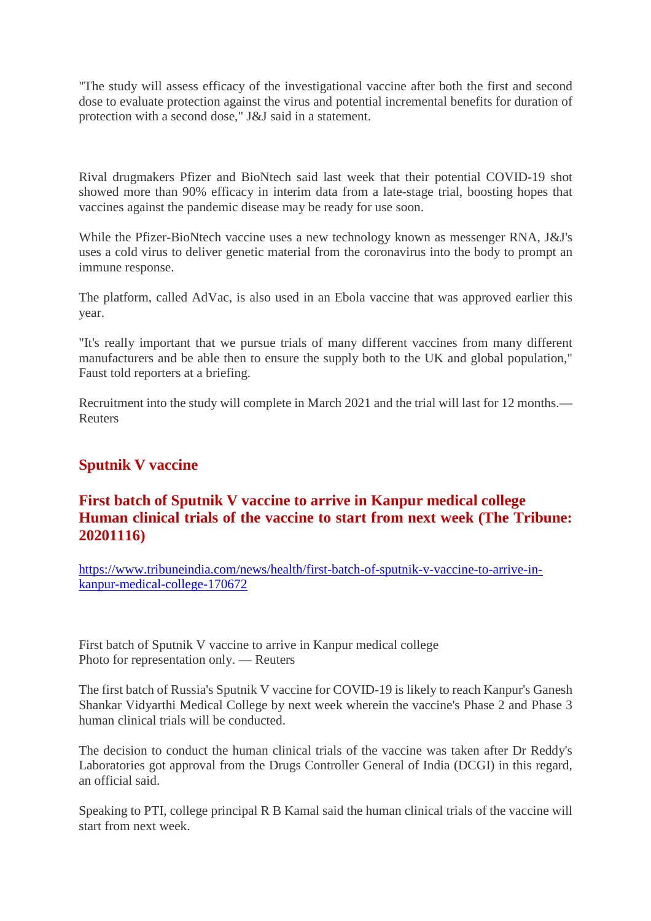"The study will assess efficacy of the investigational vaccine after both the first and second dose to evaluate protection against the virus and potential incremental benefits for duration of protection with a second dose," J&J said in a statement.

Rival drugmakers Pfizer and BioNtech said last week that their potential COVID-19 shot showed more than 90% efficacy in interim data from a late-stage trial, boosting hopes that vaccines against the pandemic disease may be ready for use soon.

While the Pfizer-BioNtech vaccine uses a new technology known as messenger RNA, J&J's uses a cold virus to deliver genetic material from the coronavirus into the body to prompt an immune response.

The platform, called AdVac, is also used in an Ebola vaccine that was approved earlier this year.

"It's really important that we pursue trials of many different vaccines from many different manufacturers and be able then to ensure the supply both to the UK and global population," Faust told reporters at a briefing.

Recruitment into the study will complete in March 2021 and the trial will last for 12 months.— Reuters

# **Sputnik V vaccine**

# **First batch of Sputnik V vaccine to arrive in Kanpur medical college Human clinical trials of the vaccine to start from next week (The Tribune: 20201116)**

https://www.tribuneindia.com/news/health/first-batch-of-sputnik-v-vaccine-to-arrive-inkanpur-medical-college-170672

First batch of Sputnik V vaccine to arrive in Kanpur medical college Photo for representation only. — Reuters

The first batch of Russia's Sputnik V vaccine for COVID-19 is likely to reach Kanpur's Ganesh Shankar Vidyarthi Medical College by next week wherein the vaccine's Phase 2 and Phase 3 human clinical trials will be conducted.

The decision to conduct the human clinical trials of the vaccine was taken after Dr Reddy's Laboratories got approval from the Drugs Controller General of India (DCGI) in this regard, an official said.

Speaking to PTI, college principal R B Kamal said the human clinical trials of the vaccine will start from next week.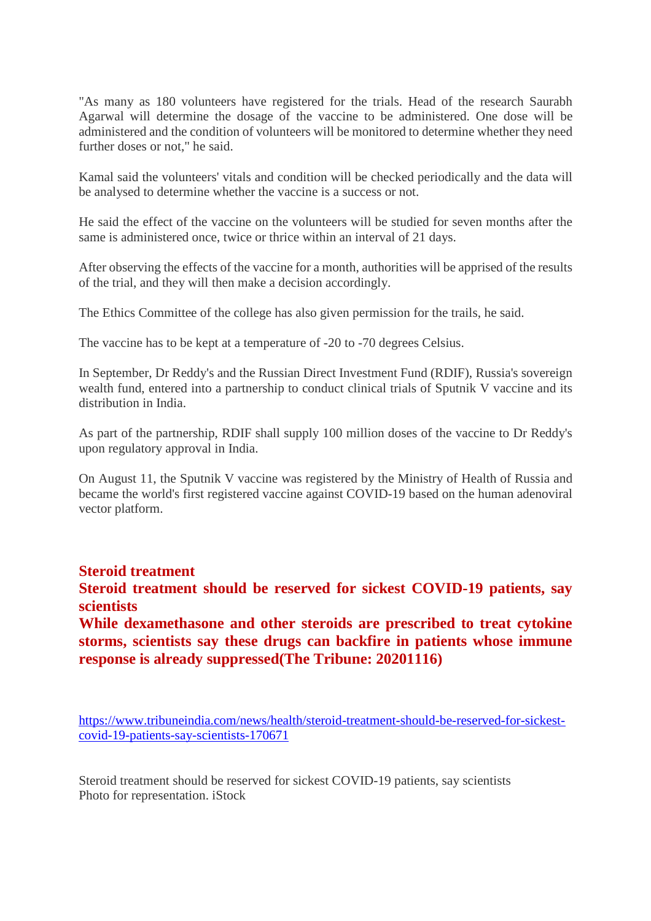"As many as 180 volunteers have registered for the trials. Head of the research Saurabh Agarwal will determine the dosage of the vaccine to be administered. One dose will be administered and the condition of volunteers will be monitored to determine whether they need further doses or not," he said.

Kamal said the volunteers' vitals and condition will be checked periodically and the data will be analysed to determine whether the vaccine is a success or not.

He said the effect of the vaccine on the volunteers will be studied for seven months after the same is administered once, twice or thrice within an interval of 21 days.

After observing the effects of the vaccine for a month, authorities will be apprised of the results of the trial, and they will then make a decision accordingly.

The Ethics Committee of the college has also given permission for the trails, he said.

The vaccine has to be kept at a temperature of -20 to -70 degrees Celsius.

In September, Dr Reddy's and the Russian Direct Investment Fund (RDIF), Russia's sovereign wealth fund, entered into a partnership to conduct clinical trials of Sputnik V vaccine and its distribution in India.

As part of the partnership, RDIF shall supply 100 million doses of the vaccine to Dr Reddy's upon regulatory approval in India.

On August 11, the Sputnik V vaccine was registered by the Ministry of Health of Russia and became the world's first registered vaccine against COVID-19 based on the human adenoviral vector platform.

#### **Steroid treatment**

**Steroid treatment should be reserved for sickest COVID-19 patients, say scientists**

**While dexamethasone and other steroids are prescribed to treat cytokine storms, scientists say these drugs can backfire in patients whose immune response is already suppressed(The Tribune: 20201116)**

https://www.tribuneindia.com/news/health/steroid-treatment-should-be-reserved-for-sickestcovid-19-patients-say-scientists-170671

Steroid treatment should be reserved for sickest COVID-19 patients, say scientists Photo for representation. iStock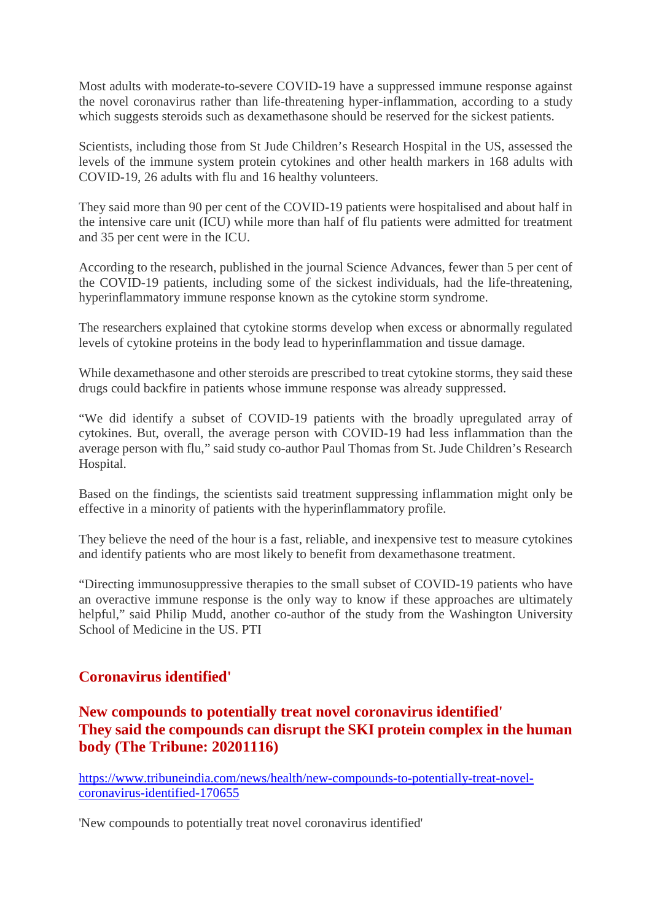Most adults with moderate-to-severe COVID-19 have a suppressed immune response against the novel coronavirus rather than life-threatening hyper-inflammation, according to a study which suggests steroids such as dexamethasone should be reserved for the sickest patients.

Scientists, including those from St Jude Children's Research Hospital in the US, assessed the levels of the immune system protein cytokines and other health markers in 168 adults with COVID-19, 26 adults with flu and 16 healthy volunteers.

They said more than 90 per cent of the COVID-19 patients were hospitalised and about half in the intensive care unit (ICU) while more than half of flu patients were admitted for treatment and 35 per cent were in the ICU.

According to the research, published in the journal Science Advances, fewer than 5 per cent of the COVID-19 patients, including some of the sickest individuals, had the life-threatening, hyperinflammatory immune response known as the cytokine storm syndrome.

The researchers explained that cytokine storms develop when excess or abnormally regulated levels of cytokine proteins in the body lead to hyperinflammation and tissue damage.

While dexamethasone and other steroids are prescribed to treat cytokine storms, they said these drugs could backfire in patients whose immune response was already suppressed.

"We did identify a subset of COVID-19 patients with the broadly upregulated array of cytokines. But, overall, the average person with COVID-19 had less inflammation than the average person with flu," said study co-author Paul Thomas from St. Jude Children's Research Hospital.

Based on the findings, the scientists said treatment suppressing inflammation might only be effective in a minority of patients with the hyperinflammatory profile.

They believe the need of the hour is a fast, reliable, and inexpensive test to measure cytokines and identify patients who are most likely to benefit from dexamethasone treatment.

"Directing immunosuppressive therapies to the small subset of COVID-19 patients who have an overactive immune response is the only way to know if these approaches are ultimately helpful," said Philip Mudd, another co-author of the study from the Washington University School of Medicine in the US. PTI

#### **Coronavirus identified'**

# **New compounds to potentially treat novel coronavirus identified' They said the compounds can disrupt the SKI protein complex in the human body (The Tribune: 20201116)**

https://www.tribuneindia.com/news/health/new-compounds-to-potentially-treat-novelcoronavirus-identified-170655

'New compounds to potentially treat novel coronavirus identified'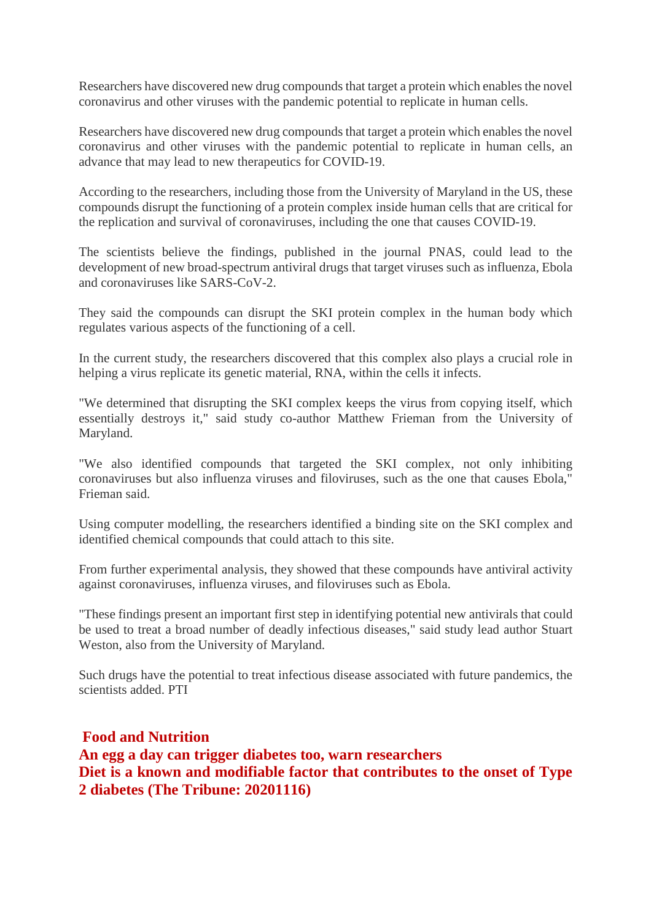Researchers have discovered new drug compounds that target a protein which enables the novel coronavirus and other viruses with the pandemic potential to replicate in human cells.

Researchers have discovered new drug compounds that target a protein which enables the novel coronavirus and other viruses with the pandemic potential to replicate in human cells, an advance that may lead to new therapeutics for COVID-19.

According to the researchers, including those from the University of Maryland in the US, these compounds disrupt the functioning of a protein complex inside human cells that are critical for the replication and survival of coronaviruses, including the one that causes COVID-19.

The scientists believe the findings, published in the journal PNAS, could lead to the development of new broad-spectrum antiviral drugs that target viruses such as influenza, Ebola and coronaviruses like SARS-CoV-2.

They said the compounds can disrupt the SKI protein complex in the human body which regulates various aspects of the functioning of a cell.

In the current study, the researchers discovered that this complex also plays a crucial role in helping a virus replicate its genetic material, RNA, within the cells it infects.

"We determined that disrupting the SKI complex keeps the virus from copying itself, which essentially destroys it," said study co-author Matthew Frieman from the University of Maryland.

"We also identified compounds that targeted the SKI complex, not only inhibiting coronaviruses but also influenza viruses and filoviruses, such as the one that causes Ebola," Frieman said.

Using computer modelling, the researchers identified a binding site on the SKI complex and identified chemical compounds that could attach to this site.

From further experimental analysis, they showed that these compounds have antiviral activity against coronaviruses, influenza viruses, and filoviruses such as Ebola.

"These findings present an important first step in identifying potential new antivirals that could be used to treat a broad number of deadly infectious diseases," said study lead author Stuart Weston, also from the University of Maryland.

Such drugs have the potential to treat infectious disease associated with future pandemics, the scientists added. PTI

**Food and Nutrition An egg a day can trigger diabetes too, warn researchers Diet is a known and modifiable factor that contributes to the onset of Type 2 diabetes (The Tribune: 20201116)**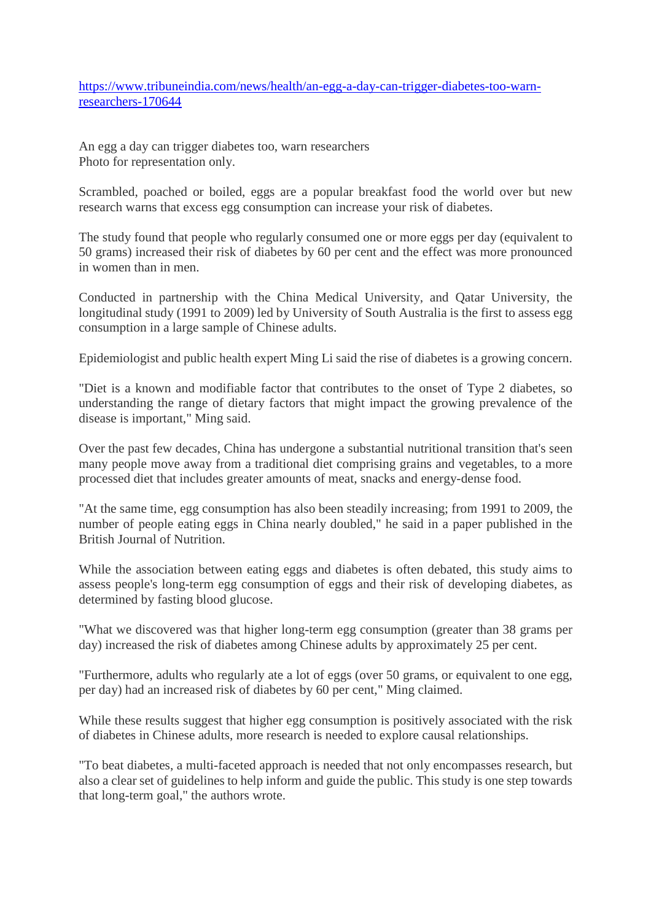https://www.tribuneindia.com/news/health/an-egg-a-day-can-trigger-diabetes-too-warnresearchers-170644

An egg a day can trigger diabetes too, warn researchers Photo for representation only.

Scrambled, poached or boiled, eggs are a popular breakfast food the world over but new research warns that excess egg consumption can increase your risk of diabetes.

The study found that people who regularly consumed one or more eggs per day (equivalent to 50 grams) increased their risk of diabetes by 60 per cent and the effect was more pronounced in women than in men.

Conducted in partnership with the China Medical University, and Qatar University, the longitudinal study (1991 to 2009) led by University of South Australia is the first to assess egg consumption in a large sample of Chinese adults.

Epidemiologist and public health expert Ming Li said the rise of diabetes is a growing concern.

"Diet is a known and modifiable factor that contributes to the onset of Type 2 diabetes, so understanding the range of dietary factors that might impact the growing prevalence of the disease is important," Ming said.

Over the past few decades, China has undergone a substantial nutritional transition that's seen many people move away from a traditional diet comprising grains and vegetables, to a more processed diet that includes greater amounts of meat, snacks and energy-dense food.

"At the same time, egg consumption has also been steadily increasing; from 1991 to 2009, the number of people eating eggs in China nearly doubled," he said in a paper published in the British Journal of Nutrition.

While the association between eating eggs and diabetes is often debated, this study aims to assess people's long-term egg consumption of eggs and their risk of developing diabetes, as determined by fasting blood glucose.

"What we discovered was that higher long-term egg consumption (greater than 38 grams per day) increased the risk of diabetes among Chinese adults by approximately 25 per cent.

"Furthermore, adults who regularly ate a lot of eggs (over 50 grams, or equivalent to one egg, per day) had an increased risk of diabetes by 60 per cent," Ming claimed.

While these results suggest that higher egg consumption is positively associated with the risk of diabetes in Chinese adults, more research is needed to explore causal relationships.

"To beat diabetes, a multi-faceted approach is needed that not only encompasses research, but also a clear set of guidelines to help inform and guide the public. This study is one step towards that long-term goal," the authors wrote.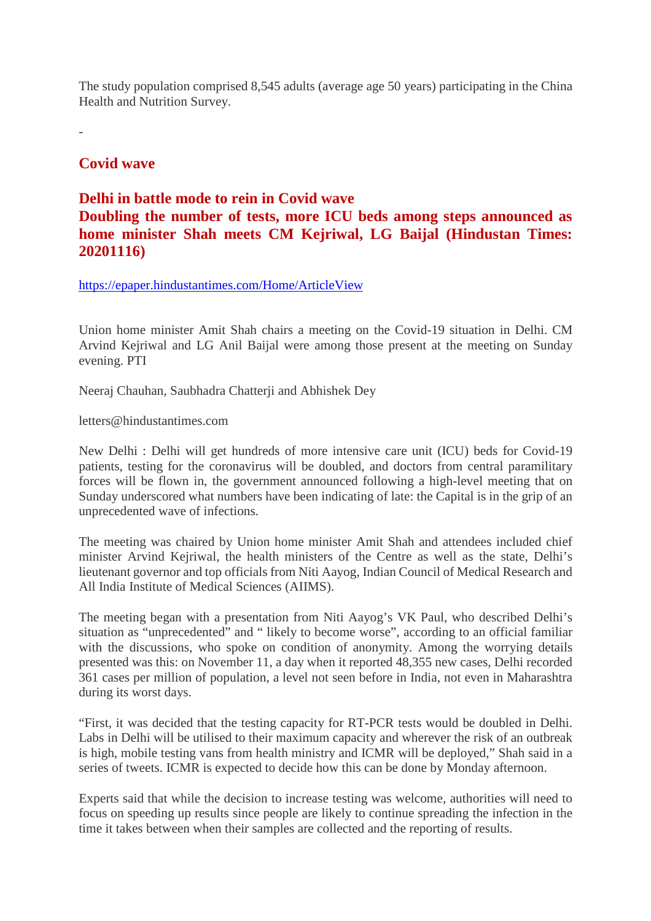The study population comprised 8,545 adults (average age 50 years) participating in the China Health and Nutrition Survey.

-

#### **Covid wave**

#### **Delhi in battle mode to rein in Covid wave**

# **Doubling the number of tests, more ICU beds among steps announced as home minister Shah meets CM Kejriwal, LG Baijal (Hindustan Times: 20201116)**

https://epaper.hindustantimes.com/Home/ArticleView

Union home minister Amit Shah chairs a meeting on the Covid-19 situation in Delhi. CM Arvind Kejriwal and LG Anil Baijal were among those present at the meeting on Sunday evening. PTI

Neeraj Chauhan, Saubhadra Chatterji and Abhishek Dey

letters@hindustantimes.com

New Delhi : Delhi will get hundreds of more intensive care unit (ICU) beds for Covid-19 patients, testing for the coronavirus will be doubled, and doctors from central paramilitary forces will be flown in, the government announced following a high-level meeting that on Sunday underscored what numbers have been indicating of late: the Capital is in the grip of an unprecedented wave of infections.

The meeting was chaired by Union home minister Amit Shah and attendees included chief minister Arvind Kejriwal, the health ministers of the Centre as well as the state, Delhi's lieutenant governor and top officials from Niti Aayog, Indian Council of Medical Research and All India Institute of Medical Sciences (AIIMS).

The meeting began with a presentation from Niti Aayog's VK Paul, who described Delhi's situation as "unprecedented" and " likely to become worse", according to an official familiar with the discussions, who spoke on condition of anonymity. Among the worrying details presented was this: on November 11, a day when it reported 48,355 new cases, Delhi recorded 361 cases per million of population, a level not seen before in India, not even in Maharashtra during its worst days.

"First, it was decided that the testing capacity for RT-PCR tests would be doubled in Delhi. Labs in Delhi will be utilised to their maximum capacity and wherever the risk of an outbreak is high, mobile testing vans from health ministry and ICMR will be deployed," Shah said in a series of tweets. ICMR is expected to decide how this can be done by Monday afternoon.

Experts said that while the decision to increase testing was welcome, authorities will need to focus on speeding up results since people are likely to continue spreading the infection in the time it takes between when their samples are collected and the reporting of results.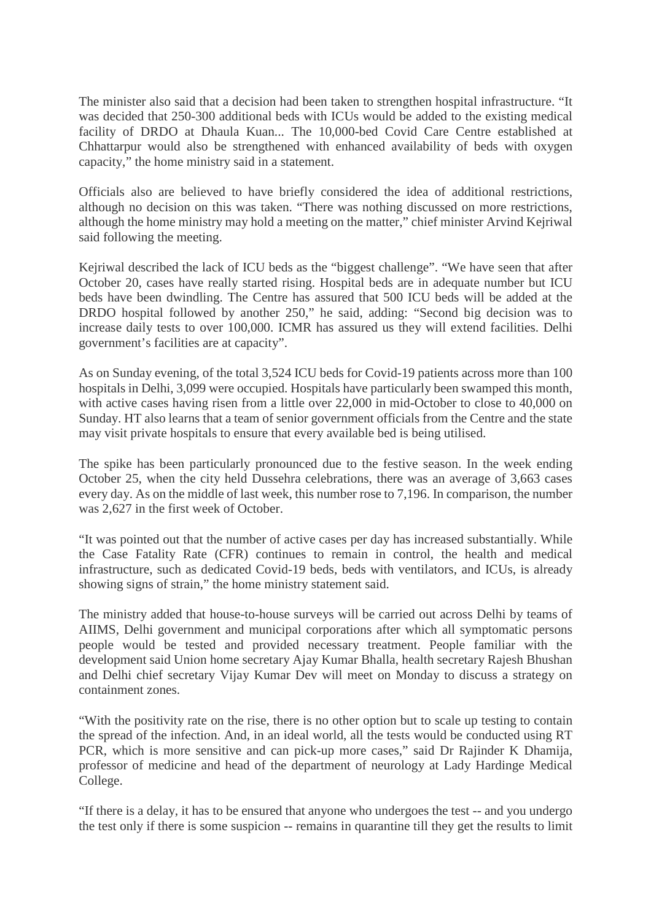The minister also said that a decision had been taken to strengthen hospital infrastructure. "It was decided that 250-300 additional beds with ICUs would be added to the existing medical facility of DRDO at Dhaula Kuan... The 10,000-bed Covid Care Centre established at Chhattarpur would also be strengthened with enhanced availability of beds with oxygen capacity," the home ministry said in a statement.

Officials also are believed to have briefly considered the idea of additional restrictions, although no decision on this was taken. "There was nothing discussed on more restrictions, although the home ministry may hold a meeting on the matter," chief minister Arvind Kejriwal said following the meeting.

Kejriwal described the lack of ICU beds as the "biggest challenge". "We have seen that after October 20, cases have really started rising. Hospital beds are in adequate number but ICU beds have been dwindling. The Centre has assured that 500 ICU beds will be added at the DRDO hospital followed by another 250," he said, adding: "Second big decision was to increase daily tests to over 100,000. ICMR has assured us they will extend facilities. Delhi government's facilities are at capacity".

As on Sunday evening, of the total 3,524 ICU beds for Covid-19 patients across more than 100 hospitals in Delhi, 3,099 were occupied. Hospitals have particularly been swamped this month, with active cases having risen from a little over 22,000 in mid-October to close to 40,000 on Sunday. HT also learns that a team of senior government officials from the Centre and the state may visit private hospitals to ensure that every available bed is being utilised.

The spike has been particularly pronounced due to the festive season. In the week ending October 25, when the city held Dussehra celebrations, there was an average of 3,663 cases every day. As on the middle of last week, this number rose to 7,196. In comparison, the number was 2,627 in the first week of October.

"It was pointed out that the number of active cases per day has increased substantially. While the Case Fatality Rate (CFR) continues to remain in control, the health and medical infrastructure, such as dedicated Covid-19 beds, beds with ventilators, and ICUs, is already showing signs of strain," the home ministry statement said.

The ministry added that house-to-house surveys will be carried out across Delhi by teams of AIIMS, Delhi government and municipal corporations after which all symptomatic persons people would be tested and provided necessary treatment. People familiar with the development said Union home secretary Ajay Kumar Bhalla, health secretary Rajesh Bhushan and Delhi chief secretary Vijay Kumar Dev will meet on Monday to discuss a strategy on containment zones.

"With the positivity rate on the rise, there is no other option but to scale up testing to contain the spread of the infection. And, in an ideal world, all the tests would be conducted using RT PCR, which is more sensitive and can pick-up more cases," said Dr Rajinder K Dhamija, professor of medicine and head of the department of neurology at Lady Hardinge Medical College.

"If there is a delay, it has to be ensured that anyone who undergoes the test -- and you undergo the test only if there is some suspicion -- remains in quarantine till they get the results to limit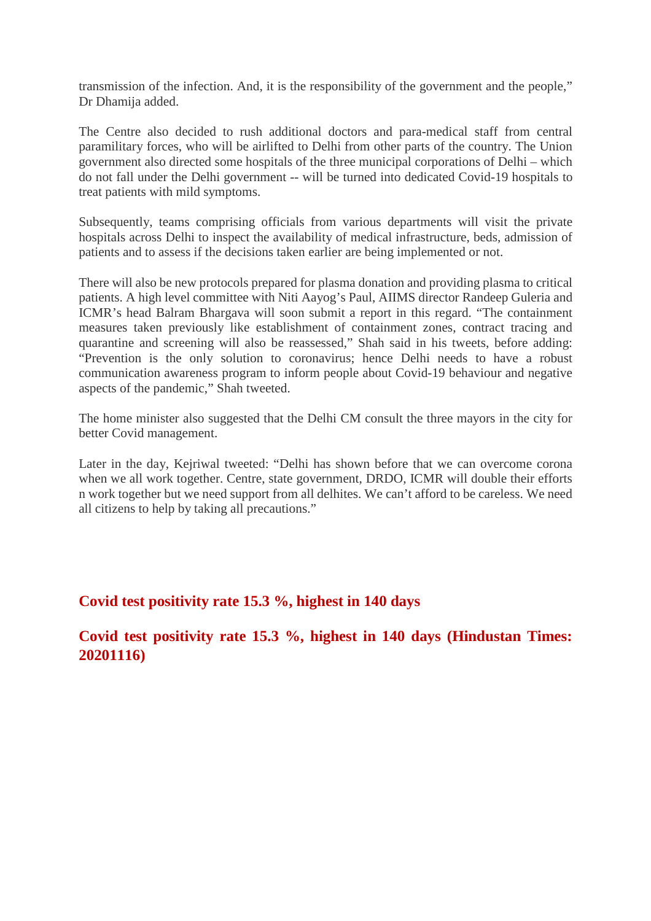transmission of the infection. And, it is the responsibility of the government and the people," Dr Dhamija added.

The Centre also decided to rush additional doctors and para-medical staff from central paramilitary forces, who will be airlifted to Delhi from other parts of the country. The Union government also directed some hospitals of the three municipal corporations of Delhi – which do not fall under the Delhi government -- will be turned into dedicated Covid-19 hospitals to treat patients with mild symptoms.

Subsequently, teams comprising officials from various departments will visit the private hospitals across Delhi to inspect the availability of medical infrastructure, beds, admission of patients and to assess if the decisions taken earlier are being implemented or not.

There will also be new protocols prepared for plasma donation and providing plasma to critical patients. A high level committee with Niti Aayog's Paul, AIIMS director Randeep Guleria and ICMR's head Balram Bhargava will soon submit a report in this regard. "The containment measures taken previously like establishment of containment zones, contract tracing and quarantine and screening will also be reassessed," Shah said in his tweets, before adding: "Prevention is the only solution to coronavirus; hence Delhi needs to have a robust communication awareness program to inform people about Covid-19 behaviour and negative aspects of the pandemic," Shah tweeted.

The home minister also suggested that the Delhi CM consult the three mayors in the city for better Covid management.

Later in the day, Kejriwal tweeted: "Delhi has shown before that we can overcome corona when we all work together. Centre, state government, DRDO, ICMR will double their efforts n work together but we need support from all delhites. We can't afford to be careless. We need all citizens to help by taking all precautions."

#### **Covid test positivity rate 15.3 %, highest in 140 days**

**Covid test positivity rate 15.3 %, highest in 140 days (Hindustan Times: 20201116)**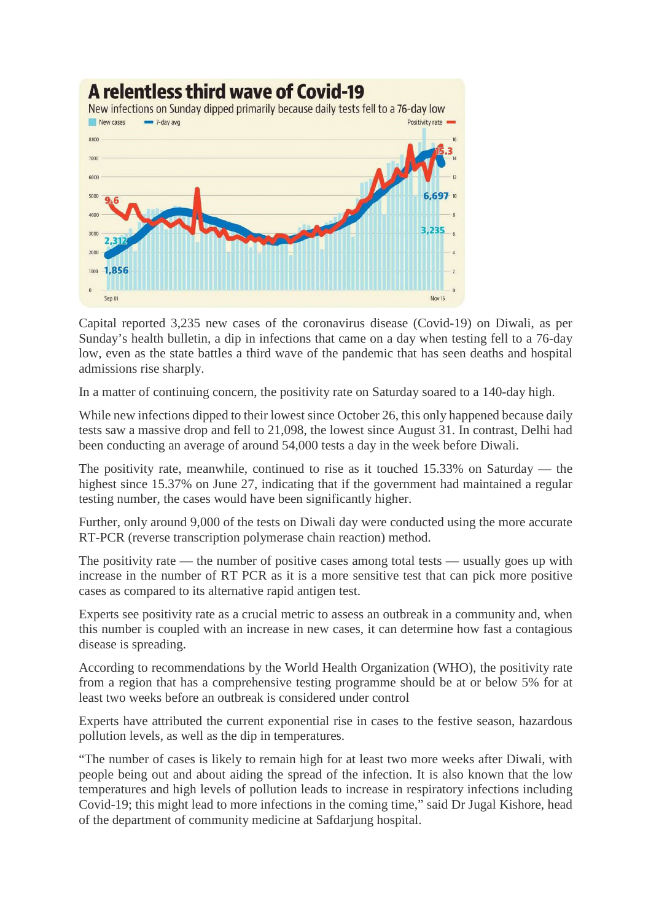

Capital reported 3,235 new cases of the coronavirus disease (Covid-19) on Diwali, as per Sunday's health bulletin, a dip in infections that came on a day when testing fell to a 76-day low, even as the state battles a third wave of the pandemic that has seen deaths and hospital admissions rise sharply.

In a matter of continuing concern, the positivity rate on Saturday soared to a 140-day high.

While new infections dipped to their lowest since October 26, this only happened because daily tests saw a massive drop and fell to 21,098, the lowest since August 31. In contrast, Delhi had been conducting an average of around 54,000 tests a day in the week before Diwali.

The positivity rate, meanwhile, continued to rise as it touched 15.33% on Saturday — the highest since 15.37% on June 27, indicating that if the government had maintained a regular testing number, the cases would have been significantly higher.

Further, only around 9,000 of the tests on Diwali day were conducted using the more accurate RT-PCR (reverse transcription polymerase chain reaction) method.

The positivity rate — the number of positive cases among total tests — usually goes up with increase in the number of RT PCR as it is a more sensitive test that can pick more positive cases as compared to its alternative rapid antigen test.

Experts see positivity rate as a crucial metric to assess an outbreak in a community and, when this number is coupled with an increase in new cases, it can determine how fast a contagious disease is spreading.

According to recommendations by the World Health Organization (WHO), the positivity rate from a region that has a comprehensive testing programme should be at or below 5% for at least two weeks before an outbreak is considered under control

Experts have attributed the current exponential rise in cases to the festive season, hazardous pollution levels, as well as the dip in temperatures.

"The number of cases is likely to remain high for at least two more weeks after Diwali, with people being out and about aiding the spread of the infection. It is also known that the low temperatures and high levels of pollution leads to increase in respiratory infections including Covid-19; this might lead to more infections in the coming time," said Dr Jugal Kishore, head of the department of community medicine at Safdarjung hospital.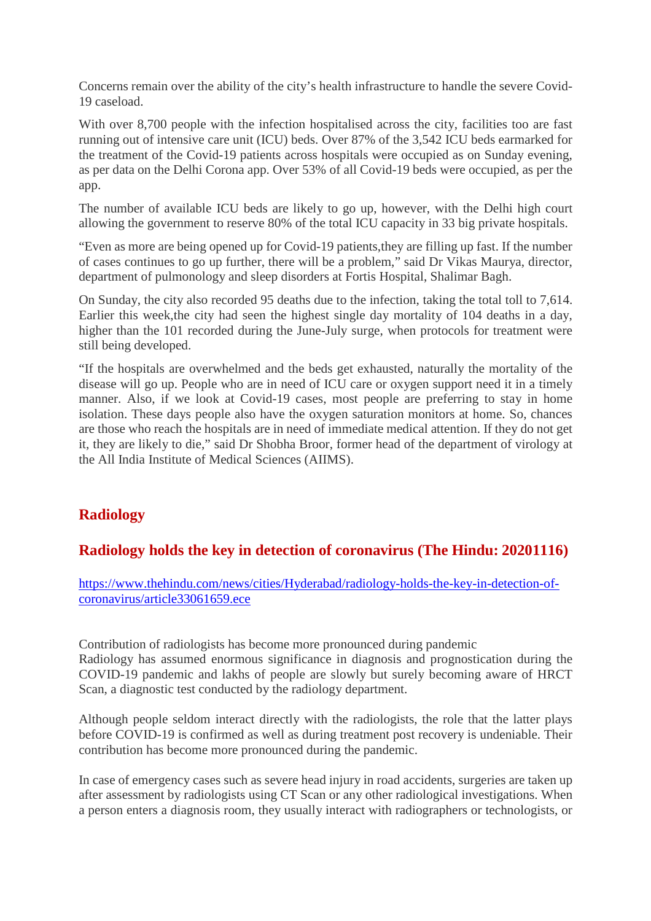Concerns remain over the ability of the city's health infrastructure to handle the severe Covid-19 caseload.

With over 8,700 people with the infection hospitalised across the city, facilities too are fast running out of intensive care unit (ICU) beds. Over 87% of the 3,542 ICU beds earmarked for the treatment of the Covid-19 patients across hospitals were occupied as on Sunday evening, as per data on the Delhi Corona app. Over 53% of all Covid-19 beds were occupied, as per the app.

The number of available ICU beds are likely to go up, however, with the Delhi high court allowing the government to reserve 80% of the total ICU capacity in 33 big private hospitals.

"Even as more are being opened up for Covid-19 patients,they are filling up fast. If the number of cases continues to go up further, there will be a problem," said Dr Vikas Maurya, director, department of pulmonology and sleep disorders at Fortis Hospital, Shalimar Bagh.

On Sunday, the city also recorded 95 deaths due to the infection, taking the total toll to 7,614. Earlier this week,the city had seen the highest single day mortality of 104 deaths in a day, higher than the 101 recorded during the June-July surge, when protocols for treatment were still being developed.

"If the hospitals are overwhelmed and the beds get exhausted, naturally the mortality of the disease will go up. People who are in need of ICU care or oxygen support need it in a timely manner. Also, if we look at Covid-19 cases, most people are preferring to stay in home isolation. These days people also have the oxygen saturation monitors at home. So, chances are those who reach the hospitals are in need of immediate medical attention. If they do not get it, they are likely to die," said Dr Shobha Broor, former head of the department of virology at the All India Institute of Medical Sciences (AIIMS).

# **Radiology**

# **Radiology holds the key in detection of coronavirus (The Hindu: 20201116)**

https://www.thehindu.com/news/cities/Hyderabad/radiology-holds-the-key-in-detection-ofcoronavirus/article33061659.ece

Contribution of radiologists has become more pronounced during pandemic Radiology has assumed enormous significance in diagnosis and prognostication during the COVID-19 pandemic and lakhs of people are slowly but surely becoming aware of HRCT Scan, a diagnostic test conducted by the radiology department.

Although people seldom interact directly with the radiologists, the role that the latter plays before COVID-19 is confirmed as well as during treatment post recovery is undeniable. Their contribution has become more pronounced during the pandemic.

In case of emergency cases such as severe head injury in road accidents, surgeries are taken up after assessment by radiologists using CT Scan or any other radiological investigations. When a person enters a diagnosis room, they usually interact with radiographers or technologists, or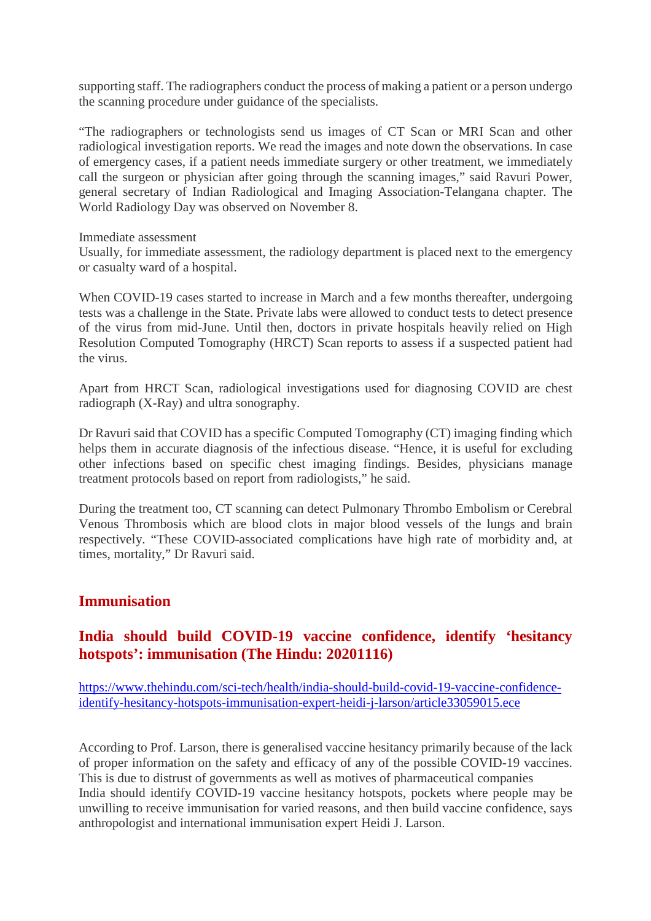supporting staff. The radiographers conduct the process of making a patient or a person undergo the scanning procedure under guidance of the specialists.

"The radiographers or technologists send us images of CT Scan or MRI Scan and other radiological investigation reports. We read the images and note down the observations. In case of emergency cases, if a patient needs immediate surgery or other treatment, we immediately call the surgeon or physician after going through the scanning images," said Ravuri Power, general secretary of Indian Radiological and Imaging Association-Telangana chapter. The World Radiology Day was observed on November 8.

Immediate assessment

Usually, for immediate assessment, the radiology department is placed next to the emergency or casualty ward of a hospital.

When COVID-19 cases started to increase in March and a few months thereafter, undergoing tests was a challenge in the State. Private labs were allowed to conduct tests to detect presence of the virus from mid-June. Until then, doctors in private hospitals heavily relied on High Resolution Computed Tomography (HRCT) Scan reports to assess if a suspected patient had the virus.

Apart from HRCT Scan, radiological investigations used for diagnosing COVID are chest radiograph (X-Ray) and ultra sonography.

Dr Ravuri said that COVID has a specific Computed Tomography (CT) imaging finding which helps them in accurate diagnosis of the infectious disease. "Hence, it is useful for excluding other infections based on specific chest imaging findings. Besides, physicians manage treatment protocols based on report from radiologists," he said.

During the treatment too, CT scanning can detect Pulmonary Thrombo Embolism or Cerebral Venous Thrombosis which are blood clots in major blood vessels of the lungs and brain respectively. "These COVID-associated complications have high rate of morbidity and, at times, mortality," Dr Ravuri said.

#### **Immunisation**

#### **India should build COVID-19 vaccine confidence, identify 'hesitancy hotspots': immunisation (The Hindu: 20201116)**

https://www.thehindu.com/sci-tech/health/india-should-build-covid-19-vaccine-confidenceidentify-hesitancy-hotspots-immunisation-expert-heidi-j-larson/article33059015.ece

According to Prof. Larson, there is generalised vaccine hesitancy primarily because of the lack of proper information on the safety and efficacy of any of the possible COVID-19 vaccines. This is due to distrust of governments as well as motives of pharmaceutical companies India should identify COVID-19 vaccine hesitancy hotspots, pockets where people may be unwilling to receive immunisation for varied reasons, and then build vaccine confidence, says anthropologist and international immunisation expert Heidi J. Larson.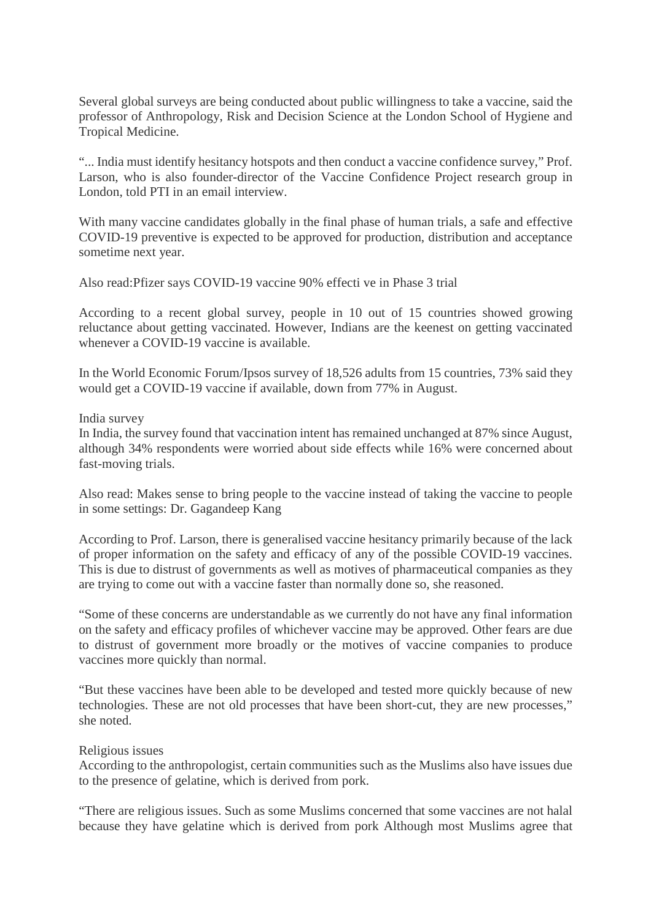Several global surveys are being conducted about public willingness to take a vaccine, said the professor of Anthropology, Risk and Decision Science at the London School of Hygiene and Tropical Medicine.

"... India must identify hesitancy hotspots and then conduct a vaccine confidence survey," Prof. Larson, who is also founder-director of the Vaccine Confidence Project research group in London, told PTI in an email interview.

With many vaccine candidates globally in the final phase of human trials, a safe and effective COVID-19 preventive is expected to be approved for production, distribution and acceptance sometime next year.

Also read:Pfizer says COVID-19 vaccine 90% effecti ve in Phase 3 trial

According to a recent global survey, people in 10 out of 15 countries showed growing reluctance about getting vaccinated. However, Indians are the keenest on getting vaccinated whenever a COVID-19 vaccine is available.

In the World Economic Forum/Ipsos survey of 18,526 adults from 15 countries, 73% said they would get a COVID-19 vaccine if available, down from 77% in August.

#### India survey

In India, the survey found that vaccination intent has remained unchanged at 87% since August, although 34% respondents were worried about side effects while 16% were concerned about fast-moving trials.

Also read: Makes sense to bring people to the vaccine instead of taking the vaccine to people in some settings: Dr. Gagandeep Kang

According to Prof. Larson, there is generalised vaccine hesitancy primarily because of the lack of proper information on the safety and efficacy of any of the possible COVID-19 vaccines. This is due to distrust of governments as well as motives of pharmaceutical companies as they are trying to come out with a vaccine faster than normally done so, she reasoned.

"Some of these concerns are understandable as we currently do not have any final information on the safety and efficacy profiles of whichever vaccine may be approved. Other fears are due to distrust of government more broadly or the motives of vaccine companies to produce vaccines more quickly than normal.

"But these vaccines have been able to be developed and tested more quickly because of new technologies. These are not old processes that have been short-cut, they are new processes," she noted.

#### Religious issues

According to the anthropologist, certain communities such as the Muslims also have issues due to the presence of gelatine, which is derived from pork.

"There are religious issues. Such as some Muslims concerned that some vaccines are not halal because they have gelatine which is derived from pork Although most Muslims agree that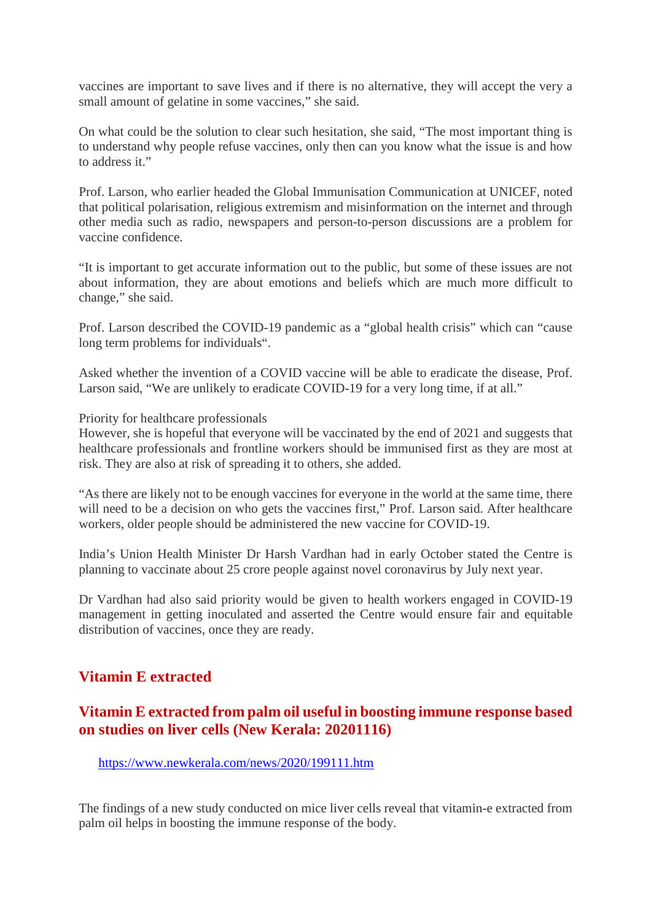vaccines are important to save lives and if there is no alternative, they will accept the very a small amount of gelatine in some vaccines," she said.

On what could be the solution to clear such hesitation, she said, "The most important thing is to understand why people refuse vaccines, only then can you know what the issue is and how to address it."

Prof. Larson, who earlier headed the Global Immunisation Communication at UNICEF, noted that political polarisation, religious extremism and misinformation on the internet and through other media such as radio, newspapers and person-to-person discussions are a problem for vaccine confidence.

"It is important to get accurate information out to the public, but some of these issues are not about information, they are about emotions and beliefs which are much more difficult to change," she said.

Prof. Larson described the COVID-19 pandemic as a "global health crisis" which can "cause long term problems for individuals".

Asked whether the invention of a COVID vaccine will be able to eradicate the disease, Prof. Larson said, "We are unlikely to eradicate COVID-19 for a very long time, if at all."

Priority for healthcare professionals

However, she is hopeful that everyone will be vaccinated by the end of 2021 and suggests that healthcare professionals and frontline workers should be immunised first as they are most at risk. They are also at risk of spreading it to others, she added.

"As there are likely not to be enough vaccines for everyone in the world at the same time, there will need to be a decision on who gets the vaccines first," Prof. Larson said. After healthcare workers, older people should be administered the new vaccine for COVID-19.

India's Union Health Minister Dr Harsh Vardhan had in early October stated the Centre is planning to vaccinate about 25 crore people against novel coronavirus by July next year.

Dr Vardhan had also said priority would be given to health workers engaged in COVID-19 management in getting inoculated and asserted the Centre would ensure fair and equitable distribution of vaccines, once they are ready.

# **Vitamin E extracted**

#### **Vitamin E extracted from palm oil useful in boosting immune response based on studies on liver cells (New Kerala: 20201116)**

https://www.newkerala.com/news/2020/199111.htm

The findings of a new study conducted on mice liver cells reveal that vitamin-e extracted from palm oil helps in boosting the immune response of the body.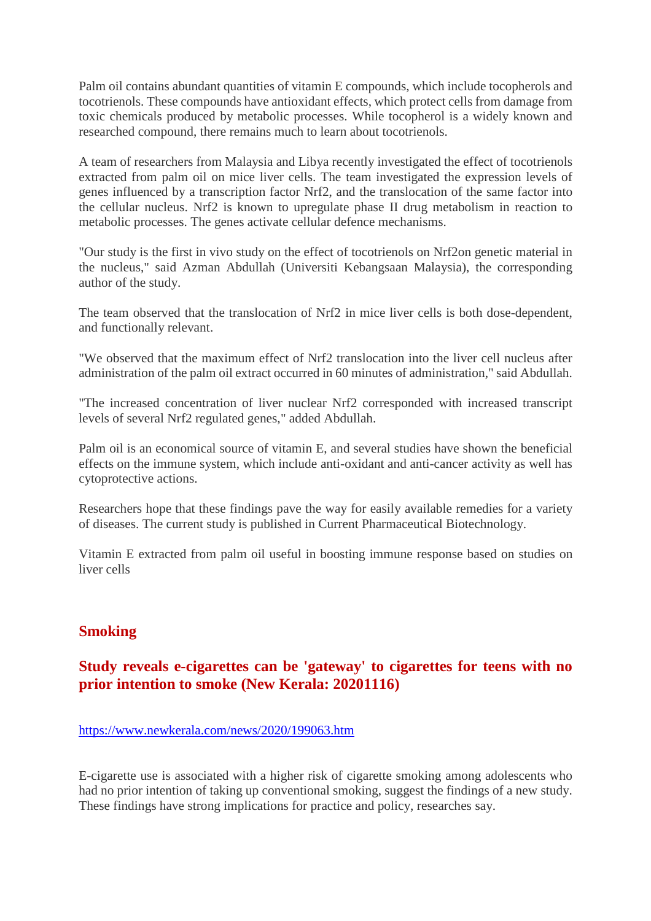Palm oil contains abundant quantities of vitamin E compounds, which include tocopherols and tocotrienols. These compounds have antioxidant effects, which protect cells from damage from toxic chemicals produced by metabolic processes. While tocopherol is a widely known and researched compound, there remains much to learn about tocotrienols.

A team of researchers from Malaysia and Libya recently investigated the effect of tocotrienols extracted from palm oil on mice liver cells. The team investigated the expression levels of genes influenced by a transcription factor Nrf2, and the translocation of the same factor into the cellular nucleus. Nrf2 is known to upregulate phase II drug metabolism in reaction to metabolic processes. The genes activate cellular defence mechanisms.

"Our study is the first in vivo study on the effect of tocotrienols on Nrf2on genetic material in the nucleus," said Azman Abdullah (Universiti Kebangsaan Malaysia), the corresponding author of the study.

The team observed that the translocation of Nrf2 in mice liver cells is both dose-dependent, and functionally relevant.

"We observed that the maximum effect of Nrf2 translocation into the liver cell nucleus after administration of the palm oil extract occurred in 60 minutes of administration," said Abdullah.

"The increased concentration of liver nuclear Nrf2 corresponded with increased transcript levels of several Nrf2 regulated genes," added Abdullah.

Palm oil is an economical source of vitamin E, and several studies have shown the beneficial effects on the immune system, which include anti-oxidant and anti-cancer activity as well has cytoprotective actions.

Researchers hope that these findings pave the way for easily available remedies for a variety of diseases. The current study is published in Current Pharmaceutical Biotechnology.

Vitamin E extracted from palm oil useful in boosting immune response based on studies on liver cells

# **Smoking**

# **Study reveals e-cigarettes can be 'gateway' to cigarettes for teens with no prior intention to smoke (New Kerala: 20201116)**

#### https://www.newkerala.com/news/2020/199063.htm

E-cigarette use is associated with a higher risk of cigarette smoking among adolescents who had no prior intention of taking up conventional smoking, suggest the findings of a new study. These findings have strong implications for practice and policy, researches say.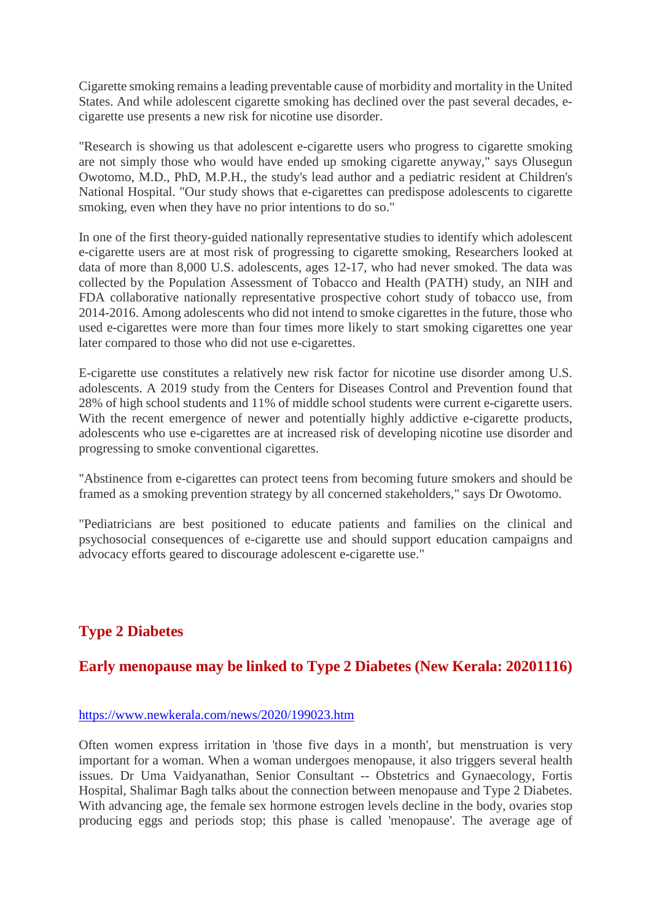Cigarette smoking remains a leading preventable cause of morbidity and mortality in the United States. And while adolescent cigarette smoking has declined over the past several decades, ecigarette use presents a new risk for nicotine use disorder.

"Research is showing us that adolescent e-cigarette users who progress to cigarette smoking are not simply those who would have ended up smoking cigarette anyway," says Olusegun Owotomo, M.D., PhD, M.P.H., the study's lead author and a pediatric resident at Children's National Hospital. "Our study shows that e-cigarettes can predispose adolescents to cigarette smoking, even when they have no prior intentions to do so."

In one of the first theory-guided nationally representative studies to identify which adolescent e-cigarette users are at most risk of progressing to cigarette smoking, Researchers looked at data of more than 8,000 U.S. adolescents, ages 12-17, who had never smoked. The data was collected by the Population Assessment of Tobacco and Health (PATH) study, an NIH and FDA collaborative nationally representative prospective cohort study of tobacco use, from 2014-2016. Among adolescents who did not intend to smoke cigarettes in the future, those who used e-cigarettes were more than four times more likely to start smoking cigarettes one year later compared to those who did not use e-cigarettes.

E-cigarette use constitutes a relatively new risk factor for nicotine use disorder among U.S. adolescents. A 2019 study from the Centers for Diseases Control and Prevention found that 28% of high school students and 11% of middle school students were current e-cigarette users. With the recent emergence of newer and potentially highly addictive e-cigarette products, adolescents who use e-cigarettes are at increased risk of developing nicotine use disorder and progressing to smoke conventional cigarettes.

"Abstinence from e-cigarettes can protect teens from becoming future smokers and should be framed as a smoking prevention strategy by all concerned stakeholders," says Dr Owotomo.

"Pediatricians are best positioned to educate patients and families on the clinical and psychosocial consequences of e-cigarette use and should support education campaigns and advocacy efforts geared to discourage adolescent e-cigarette use."

# **Type 2 Diabetes**

# **Early menopause may be linked to Type 2 Diabetes (New Kerala: 20201116)**

#### https://www.newkerala.com/news/2020/199023.htm

Often women express irritation in 'those five days in a month', but menstruation is very important for a woman. When a woman undergoes menopause, it also triggers several health issues. Dr Uma Vaidyanathan, Senior Consultant -- Obstetrics and Gynaecology, Fortis Hospital, Shalimar Bagh talks about the connection between menopause and Type 2 Diabetes. With advancing age, the female sex hormone estrogen levels decline in the body, ovaries stop producing eggs and periods stop; this phase is called 'menopause'. The average age of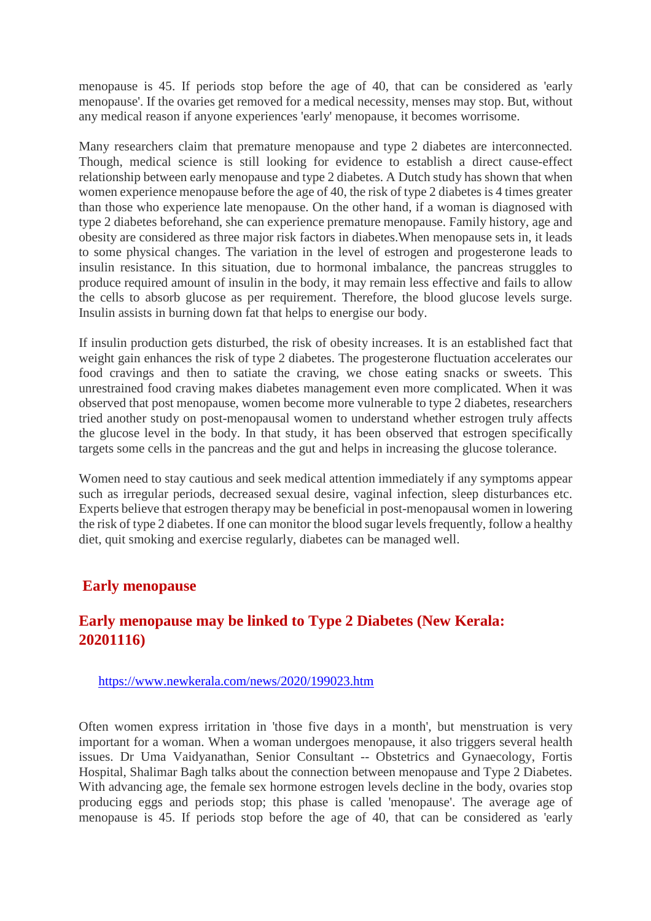menopause is 45. If periods stop before the age of 40, that can be considered as 'early menopause'. If the ovaries get removed for a medical necessity, menses may stop. But, without any medical reason if anyone experiences 'early' menopause, it becomes worrisome.

Many researchers claim that premature menopause and type 2 diabetes are interconnected. Though, medical science is still looking for evidence to establish a direct cause-effect relationship between early menopause and type 2 diabetes. A Dutch study has shown that when women experience menopause before the age of 40, the risk of type 2 diabetes is 4 times greater than those who experience late menopause. On the other hand, if a woman is diagnosed with type 2 diabetes beforehand, she can experience premature menopause. Family history, age and obesity are considered as three major risk factors in diabetes.When menopause sets in, it leads to some physical changes. The variation in the level of estrogen and progesterone leads to insulin resistance. In this situation, due to hormonal imbalance, the pancreas struggles to produce required amount of insulin in the body, it may remain less effective and fails to allow the cells to absorb glucose as per requirement. Therefore, the blood glucose levels surge. Insulin assists in burning down fat that helps to energise our body.

If insulin production gets disturbed, the risk of obesity increases. It is an established fact that weight gain enhances the risk of type 2 diabetes. The progesterone fluctuation accelerates our food cravings and then to satiate the craving, we chose eating snacks or sweets. This unrestrained food craving makes diabetes management even more complicated. When it was observed that post menopause, women become more vulnerable to type 2 diabetes, researchers tried another study on post-menopausal women to understand whether estrogen truly affects the glucose level in the body. In that study, it has been observed that estrogen specifically targets some cells in the pancreas and the gut and helps in increasing the glucose tolerance.

Women need to stay cautious and seek medical attention immediately if any symptoms appear such as irregular periods, decreased sexual desire, vaginal infection, sleep disturbances etc. Experts believe that estrogen therapy may be beneficial in post-menopausal women in lowering the risk of type 2 diabetes. If one can monitor the blood sugar levels frequently, follow a healthy diet, quit smoking and exercise regularly, diabetes can be managed well.

#### **Early menopause**

# **Early menopause may be linked to Type 2 Diabetes (New Kerala: 20201116)**

#### https://www.newkerala.com/news/2020/199023.htm

Often women express irritation in 'those five days in a month', but menstruation is very important for a woman. When a woman undergoes menopause, it also triggers several health issues. Dr Uma Vaidyanathan, Senior Consultant -- Obstetrics and Gynaecology, Fortis Hospital, Shalimar Bagh talks about the connection between menopause and Type 2 Diabetes. With advancing age, the female sex hormone estrogen levels decline in the body, ovaries stop producing eggs and periods stop; this phase is called 'menopause'. The average age of menopause is 45. If periods stop before the age of 40, that can be considered as 'early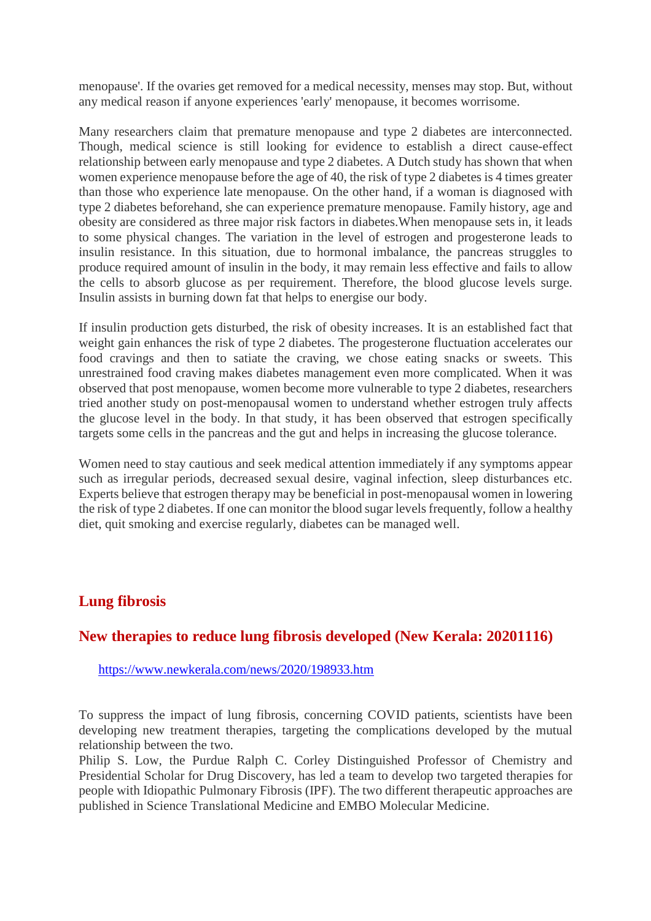menopause'. If the ovaries get removed for a medical necessity, menses may stop. But, without any medical reason if anyone experiences 'early' menopause, it becomes worrisome.

Many researchers claim that premature menopause and type 2 diabetes are interconnected. Though, medical science is still looking for evidence to establish a direct cause-effect relationship between early menopause and type 2 diabetes. A Dutch study has shown that when women experience menopause before the age of 40, the risk of type 2 diabetes is 4 times greater than those who experience late menopause. On the other hand, if a woman is diagnosed with type 2 diabetes beforehand, she can experience premature menopause. Family history, age and obesity are considered as three major risk factors in diabetes.When menopause sets in, it leads to some physical changes. The variation in the level of estrogen and progesterone leads to insulin resistance. In this situation, due to hormonal imbalance, the pancreas struggles to produce required amount of insulin in the body, it may remain less effective and fails to allow the cells to absorb glucose as per requirement. Therefore, the blood glucose levels surge. Insulin assists in burning down fat that helps to energise our body.

If insulin production gets disturbed, the risk of obesity increases. It is an established fact that weight gain enhances the risk of type 2 diabetes. The progesterone fluctuation accelerates our food cravings and then to satiate the craving, we chose eating snacks or sweets. This unrestrained food craving makes diabetes management even more complicated. When it was observed that post menopause, women become more vulnerable to type 2 diabetes, researchers tried another study on post-menopausal women to understand whether estrogen truly affects the glucose level in the body. In that study, it has been observed that estrogen specifically targets some cells in the pancreas and the gut and helps in increasing the glucose tolerance.

Women need to stay cautious and seek medical attention immediately if any symptoms appear such as irregular periods, decreased sexual desire, vaginal infection, sleep disturbances etc. Experts believe that estrogen therapy may be beneficial in post-menopausal women in lowering the risk of type 2 diabetes. If one can monitor the blood sugar levels frequently, follow a healthy diet, quit smoking and exercise regularly, diabetes can be managed well.

#### **Lung fibrosis**

#### **New therapies to reduce lung fibrosis developed (New Kerala: 20201116)**

https://www.newkerala.com/news/2020/198933.htm

To suppress the impact of lung fibrosis, concerning COVID patients, scientists have been developing new treatment therapies, targeting the complications developed by the mutual relationship between the two.

Philip S. Low, the Purdue Ralph C. Corley Distinguished Professor of Chemistry and Presidential Scholar for Drug Discovery, has led a team to develop two targeted therapies for people with Idiopathic Pulmonary Fibrosis (IPF). The two different therapeutic approaches are published in Science Translational Medicine and EMBO Molecular Medicine.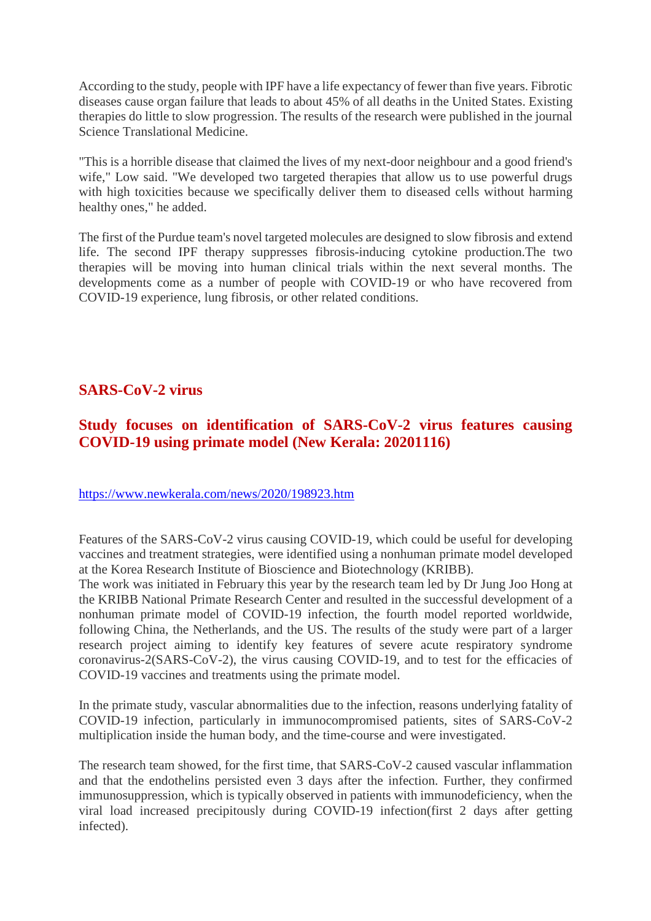According to the study, people with IPF have a life expectancy of fewer than five years. Fibrotic diseases cause organ failure that leads to about 45% of all deaths in the United States. Existing therapies do little to slow progression. The results of the research were published in the journal Science Translational Medicine.

"This is a horrible disease that claimed the lives of my next-door neighbour and a good friend's wife," Low said. "We developed two targeted therapies that allow us to use powerful drugs with high toxicities because we specifically deliver them to diseased cells without harming healthy ones," he added.

The first of the Purdue team's novel targeted molecules are designed to slow fibrosis and extend life. The second IPF therapy suppresses fibrosis-inducing cytokine production.The two therapies will be moving into human clinical trials within the next several months. The developments come as a number of people with COVID-19 or who have recovered from COVID-19 experience, lung fibrosis, or other related conditions.

# **SARS-CoV-2 virus**

# **Study focuses on identification of SARS-CoV-2 virus features causing COVID-19 using primate model (New Kerala: 20201116)**

#### https://www.newkerala.com/news/2020/198923.htm

Features of the SARS-CoV-2 virus causing COVID-19, which could be useful for developing vaccines and treatment strategies, were identified using a nonhuman primate model developed at the Korea Research Institute of Bioscience and Biotechnology (KRIBB).

The work was initiated in February this year by the research team led by Dr Jung Joo Hong at the KRIBB National Primate Research Center and resulted in the successful development of a nonhuman primate model of COVID-19 infection, the fourth model reported worldwide, following China, the Netherlands, and the US. The results of the study were part of a larger research project aiming to identify key features of severe acute respiratory syndrome coronavirus-2(SARS-CoV-2), the virus causing COVID-19, and to test for the efficacies of COVID-19 vaccines and treatments using the primate model.

In the primate study, vascular abnormalities due to the infection, reasons underlying fatality of COVID-19 infection, particularly in immunocompromised patients, sites of SARS-CoV-2 multiplication inside the human body, and the time-course and were investigated.

The research team showed, for the first time, that SARS-CoV-2 caused vascular inflammation and that the endothelins persisted even 3 days after the infection. Further, they confirmed immunosuppression, which is typically observed in patients with immunodeficiency, when the viral load increased precipitously during COVID-19 infection(first 2 days after getting infected).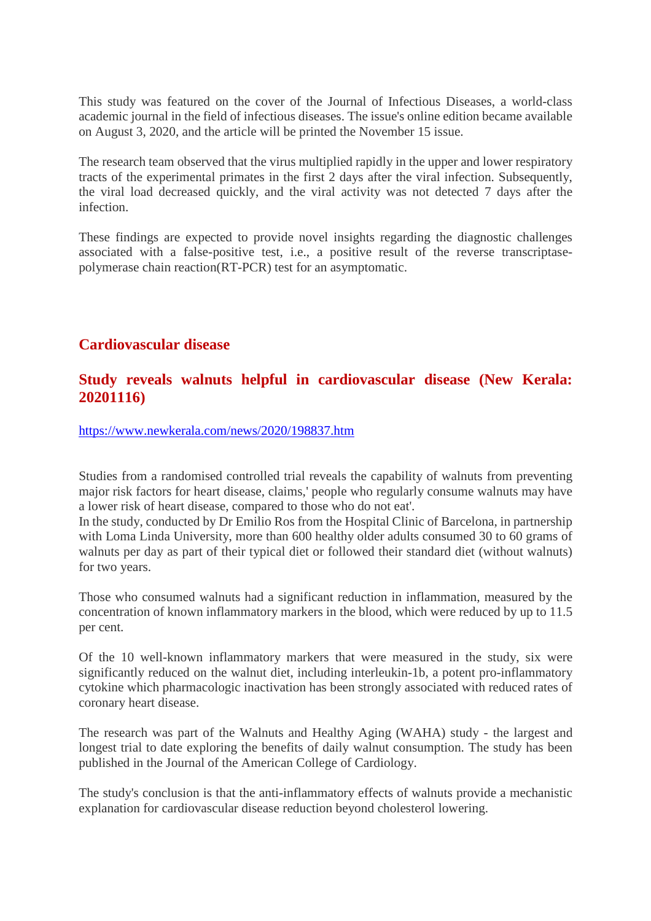This study was featured on the cover of the Journal of Infectious Diseases, a world-class academic journal in the field of infectious diseases. The issue's online edition became available on August 3, 2020, and the article will be printed the November 15 issue.

The research team observed that the virus multiplied rapidly in the upper and lower respiratory tracts of the experimental primates in the first 2 days after the viral infection. Subsequently, the viral load decreased quickly, and the viral activity was not detected 7 days after the infection.

These findings are expected to provide novel insights regarding the diagnostic challenges associated with a false-positive test, i.e., a positive result of the reverse transcriptasepolymerase chain reaction(RT-PCR) test for an asymptomatic.

# **Cardiovascular disease**

#### **Study reveals walnuts helpful in cardiovascular disease (New Kerala: 20201116)**

https://www.newkerala.com/news/2020/198837.htm

Studies from a randomised controlled trial reveals the capability of walnuts from preventing major risk factors for heart disease, claims,' people who regularly consume walnuts may have a lower risk of heart disease, compared to those who do not eat'.

In the study, conducted by Dr Emilio Ros from the Hospital Clinic of Barcelona, in partnership with Loma Linda University, more than 600 healthy older adults consumed 30 to 60 grams of walnuts per day as part of their typical diet or followed their standard diet (without walnuts) for two years.

Those who consumed walnuts had a significant reduction in inflammation, measured by the concentration of known inflammatory markers in the blood, which were reduced by up to 11.5 per cent.

Of the 10 well-known inflammatory markers that were measured in the study, six were significantly reduced on the walnut diet, including interleukin-1b, a potent pro-inflammatory cytokine which pharmacologic inactivation has been strongly associated with reduced rates of coronary heart disease.

The research was part of the Walnuts and Healthy Aging (WAHA) study - the largest and longest trial to date exploring the benefits of daily walnut consumption. The study has been published in the Journal of the American College of Cardiology.

The study's conclusion is that the anti-inflammatory effects of walnuts provide a mechanistic explanation for cardiovascular disease reduction beyond cholesterol lowering.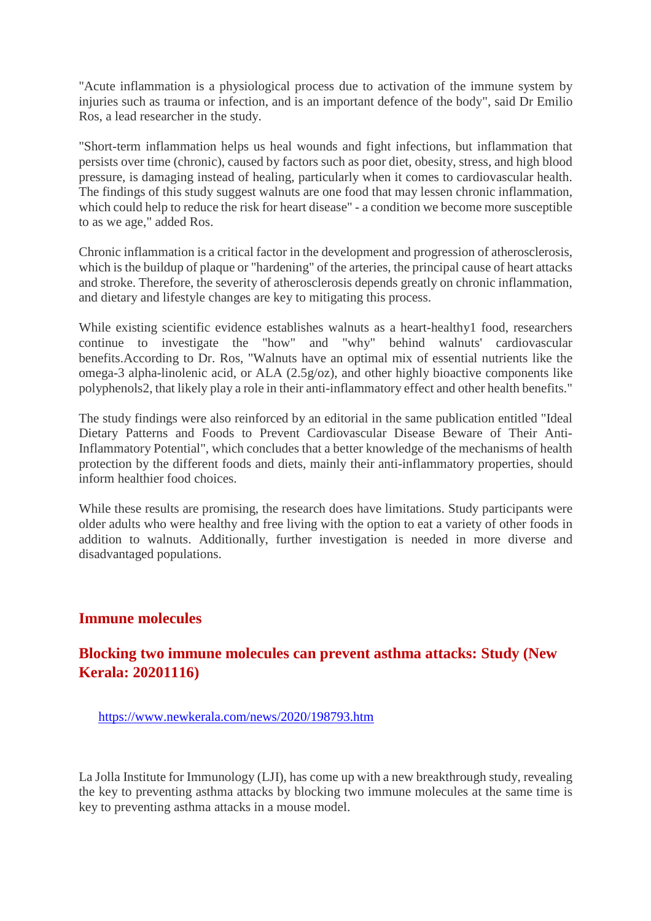"Acute inflammation is a physiological process due to activation of the immune system by injuries such as trauma or infection, and is an important defence of the body", said Dr Emilio Ros, a lead researcher in the study.

"Short-term inflammation helps us heal wounds and fight infections, but inflammation that persists over time (chronic), caused by factors such as poor diet, obesity, stress, and high blood pressure, is damaging instead of healing, particularly when it comes to cardiovascular health. The findings of this study suggest walnuts are one food that may lessen chronic inflammation, which could help to reduce the risk for heart disease" - a condition we become more susceptible to as we age," added Ros.

Chronic inflammation is a critical factor in the development and progression of atherosclerosis, which is the buildup of plaque or "hardening" of the arteries, the principal cause of heart attacks and stroke. Therefore, the severity of atherosclerosis depends greatly on chronic inflammation, and dietary and lifestyle changes are key to mitigating this process.

While existing scientific evidence establishes walnuts as a heart-healthy1 food, researchers continue to investigate the "how" and "why" behind walnuts' cardiovascular benefits.According to Dr. Ros, "Walnuts have an optimal mix of essential nutrients like the omega-3 alpha-linolenic acid, or ALA (2.5g/oz), and other highly bioactive components like polyphenols2, that likely play a role in their anti-inflammatory effect and other health benefits."

The study findings were also reinforced by an editorial in the same publication entitled "Ideal Dietary Patterns and Foods to Prevent Cardiovascular Disease Beware of Their Anti-Inflammatory Potential", which concludes that a better knowledge of the mechanisms of health protection by the different foods and diets, mainly their anti-inflammatory properties, should inform healthier food choices.

While these results are promising, the research does have limitations. Study participants were older adults who were healthy and free living with the option to eat a variety of other foods in addition to walnuts. Additionally, further investigation is needed in more diverse and disadvantaged populations.

#### **Immune molecules**

# **Blocking two immune molecules can prevent asthma attacks: Study (New Kerala: 20201116)**

https://www.newkerala.com/news/2020/198793.htm

La Jolla Institute for Immunology (LJI), has come up with a new breakthrough study, revealing the key to preventing asthma attacks by blocking two immune molecules at the same time is key to preventing asthma attacks in a mouse model.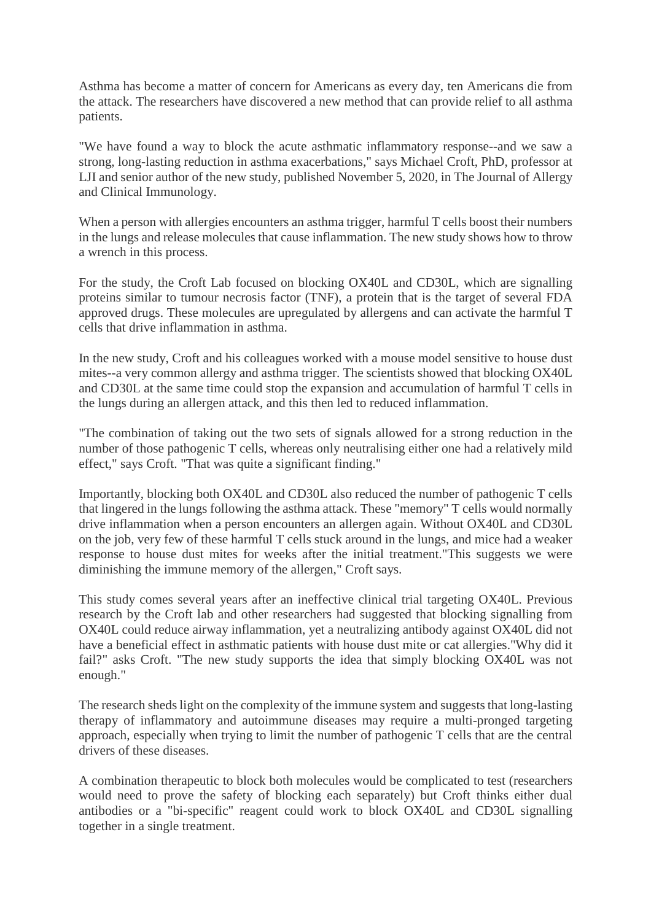Asthma has become a matter of concern for Americans as every day, ten Americans die from the attack. The researchers have discovered a new method that can provide relief to all asthma patients.

"We have found a way to block the acute asthmatic inflammatory response--and we saw a strong, long-lasting reduction in asthma exacerbations," says Michael Croft, PhD, professor at LJI and senior author of the new study, published November 5, 2020, in The Journal of Allergy and Clinical Immunology.

When a person with allergies encounters an asthma trigger, harmful T cells boost their numbers in the lungs and release molecules that cause inflammation. The new study shows how to throw a wrench in this process.

For the study, the Croft Lab focused on blocking OX40L and CD30L, which are signalling proteins similar to tumour necrosis factor (TNF), a protein that is the target of several FDA approved drugs. These molecules are upregulated by allergens and can activate the harmful T cells that drive inflammation in asthma.

In the new study, Croft and his colleagues worked with a mouse model sensitive to house dust mites--a very common allergy and asthma trigger. The scientists showed that blocking OX40L and CD30L at the same time could stop the expansion and accumulation of harmful T cells in the lungs during an allergen attack, and this then led to reduced inflammation.

"The combination of taking out the two sets of signals allowed for a strong reduction in the number of those pathogenic T cells, whereas only neutralising either one had a relatively mild effect," says Croft. "That was quite a significant finding."

Importantly, blocking both OX40L and CD30L also reduced the number of pathogenic T cells that lingered in the lungs following the asthma attack. These "memory" T cells would normally drive inflammation when a person encounters an allergen again. Without OX40L and CD30L on the job, very few of these harmful T cells stuck around in the lungs, and mice had a weaker response to house dust mites for weeks after the initial treatment."This suggests we were diminishing the immune memory of the allergen," Croft says.

This study comes several years after an ineffective clinical trial targeting OX40L. Previous research by the Croft lab and other researchers had suggested that blocking signalling from OX40L could reduce airway inflammation, yet a neutralizing antibody against OX40L did not have a beneficial effect in asthmatic patients with house dust mite or cat allergies."Why did it fail?" asks Croft. "The new study supports the idea that simply blocking OX40L was not enough."

The research sheds light on the complexity of the immune system and suggests that long-lasting therapy of inflammatory and autoimmune diseases may require a multi-pronged targeting approach, especially when trying to limit the number of pathogenic T cells that are the central drivers of these diseases.

A combination therapeutic to block both molecules would be complicated to test (researchers would need to prove the safety of blocking each separately) but Croft thinks either dual antibodies or a "bi-specific" reagent could work to block OX40L and CD30L signalling together in a single treatment.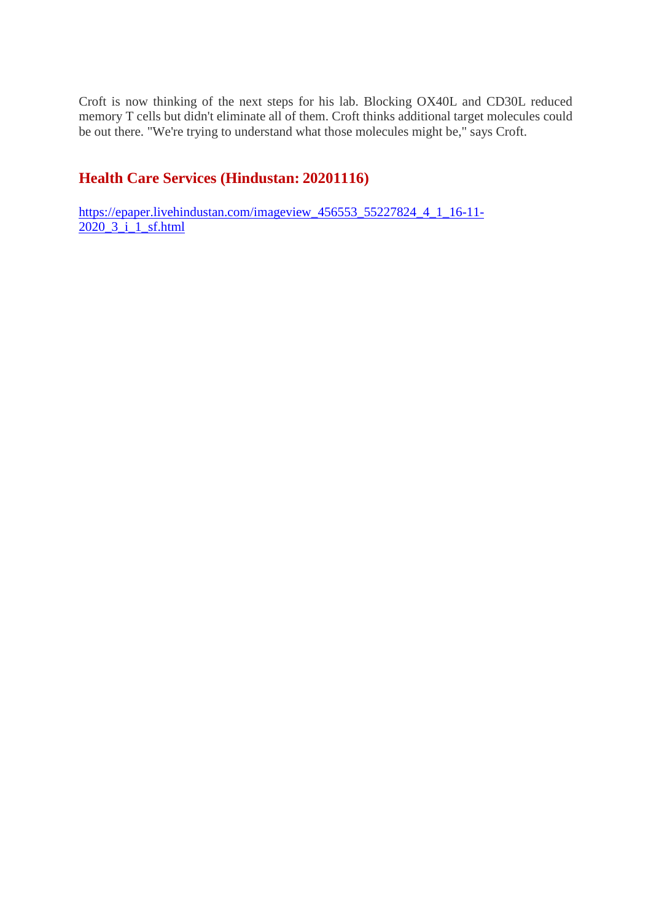Croft is now thinking of the next steps for his lab. Blocking OX40L and CD30L reduced memory T cells but didn't eliminate all of them. Croft thinks additional target molecules could be out there. "We're trying to understand what those molecules might be," says Croft.

# **Health Care Services (Hindustan: 20201116)**

https://epaper.livehindustan.com/imageview\_456553\_55227824\_4\_1\_16-11-  $2020\overline{3}$   $\overline{1}$   $\overline{1}$  sf.html